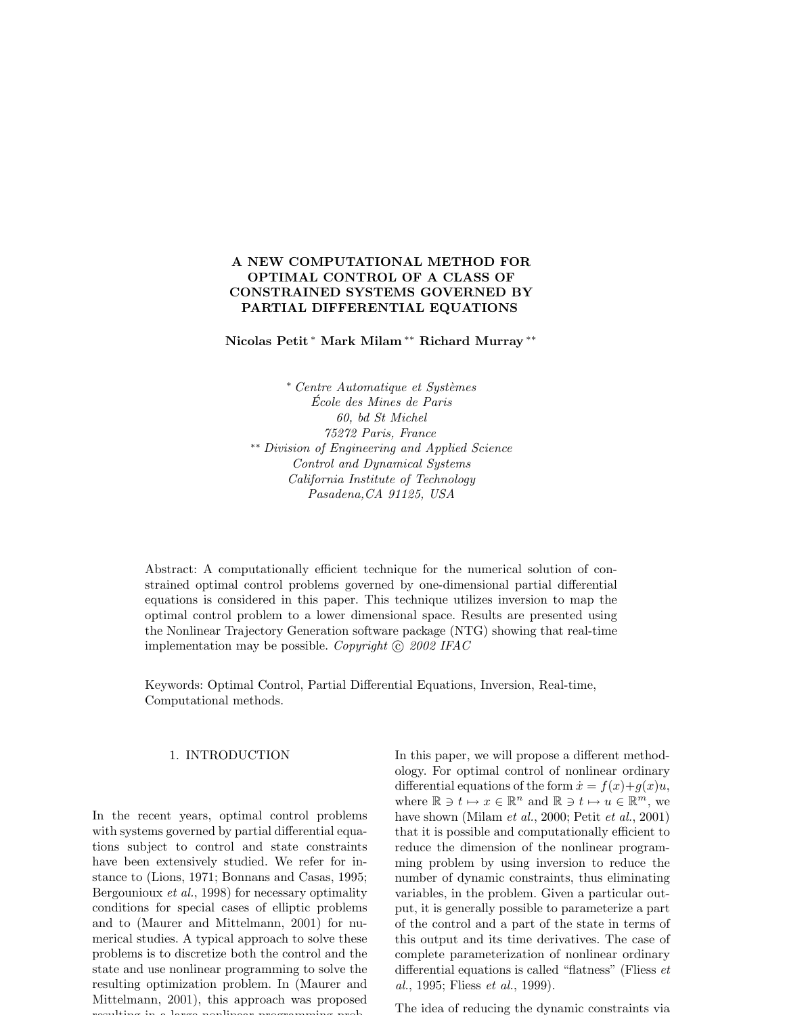# A NEW COMPUTATIONAL METHOD FOR OPTIMAL CONTROL OF A CLASS OF CONSTRAINED SYSTEMS GOVERNED BY PARTIAL DIFFERENTIAL EQUATIONS

Nicolas Petit <sup>∗</sup> Mark Milam ∗∗ Richard Murray ∗∗

<sup>∗</sup> Centre Automatique et Syst`emes Ecole des Mines de Paris ´ 60, bd St Michel 75272 Paris, France ∗∗ Division of Engineering and Applied Science Control and Dynamical Systems California Institute of Technology Pasadena,CA 91125, USA

Abstract: A computationally efficient technique for the numerical solution of constrained optimal control problems governed by one-dimensional partial differential equations is considered in this paper. This technique utilizes inversion to map the optimal control problem to a lower dimensional space. Results are presented using the Nonlinear Trajectory Generation software package (NTG) showing that real-time implementation may be possible. Copyright  $\odot$  2002 IFAC

Keywords: Optimal Control, Partial Differential Equations, Inversion, Real-time, Computational methods.

# 1. INTRODUCTION

In the recent years, optimal control problems with systems governed by partial differential equations subject to control and state constraints have been extensively studied. We refer for instance to (Lions, 1971; Bonnans and Casas, 1995; Bergounioux et al., 1998) for necessary optimality conditions for special cases of elliptic problems and to (Maurer and Mittelmann, 2001) for numerical studies. A typical approach to solve these problems is to discretize both the control and the state and use nonlinear programming to solve the resulting optimization problem. In (Maurer and Mittelmann, 2001), this approach was proposed resulting in a large nonlinear programming probIn this paper, we will propose a different methodology. For optimal control of nonlinear ordinary differential equations of the form  $\dot{x} = f(x) + g(x)u$ , where  $\mathbb{R} \ni t \mapsto x \in \mathbb{R}^n$  and  $\mathbb{R} \ni t \mapsto u \in \mathbb{R}^m$ , we have shown (Milam et al., 2000; Petit et al., 2001) that it is possible and computationally efficient to reduce the dimension of the nonlinear programming problem by using inversion to reduce the number of dynamic constraints, thus eliminating variables, in the problem. Given a particular output, it is generally possible to parameterize a part of the control and a part of the state in terms of this output and its time derivatives. The case of complete parameterization of nonlinear ordinary differential equations is called "flatness" (Fliess et al., 1995; Fliess et al., 1999).

The idea of reducing the dynamic constraints via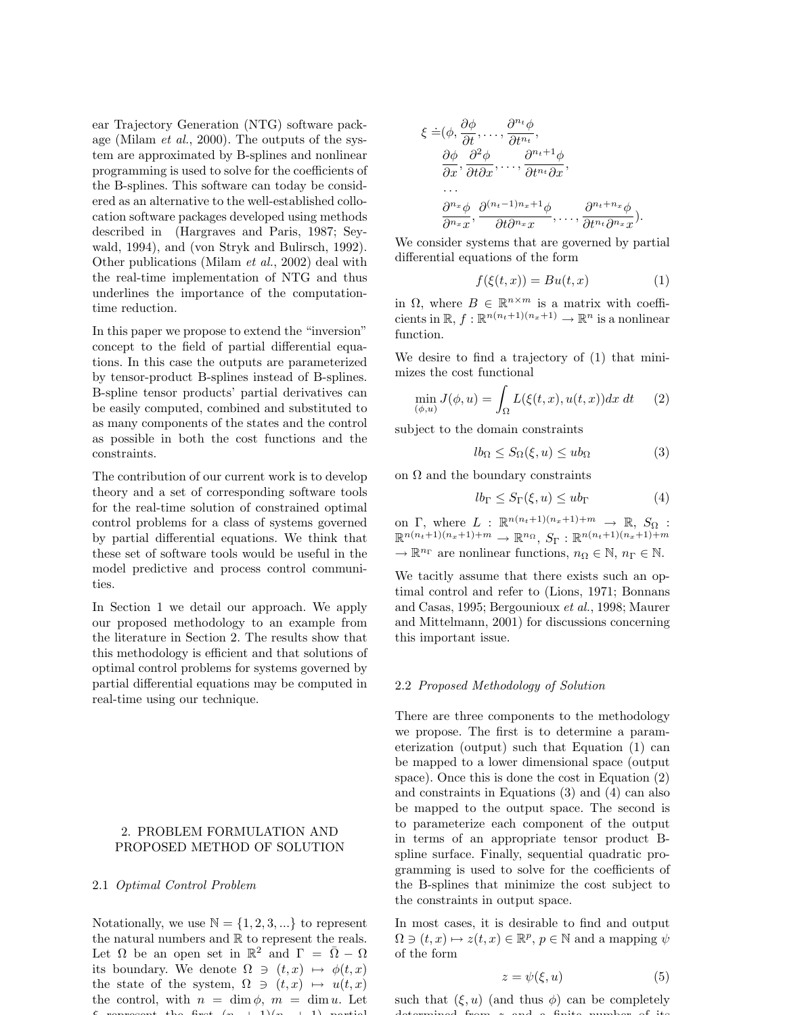ear Trajectory Generation (NTG) software package (Milam et al., 2000). The outputs of the system are approximated by B-splines and nonlinear programming is used to solve for the coefficients of the B-splines. This software can today be considered as an alternative to the well-established collocation software packages developed using methods described in (Hargraves and Paris, 1987; Seywald, 1994), and (von Stryk and Bulirsch, 1992). Other publications (Milam et al., 2002) deal with the real-time implementation of NTG and thus underlines the importance of the computationtime reduction.

In this paper we propose to extend the "inversion" concept to the field of partial differential equations. In this case the outputs are parameterized by tensor-product B-splines instead of B-splines. B-spline tensor products' partial derivatives can be easily computed, combined and substituted to as many components of the states and the control as possible in both the cost functions and the constraints.

The contribution of our current work is to develop theory and a set of corresponding software tools for the real-time solution of constrained optimal control problems for a class of systems governed by partial differential equations. We think that these set of software tools would be useful in the model predictive and process control communities.

In Section 1 we detail our approach. We apply our proposed methodology to an example from the literature in Section 2. The results show that this methodology is efficient and that solutions of optimal control problems for systems governed by partial differential equations may be computed in real-time using our technique.

# 2. PROBLEM FORMULATION AND PROPOSED METHOD OF SOLUTION

### 2.1 Optimal Control Problem

Notationally, we use  $\mathbb{N} = \{1, 2, 3, ...\}$  to represent the natural numbers and  $\mathbb R$  to represent the reals. Let  $\Omega$  be an open set in  $\mathbb{R}^2$  and  $\Gamma = \overline{\Omega} - \Omega$ its boundary. We denote  $\Omega \ni (t, x) \mapsto \phi(t, x)$ the state of the system,  $\Omega \ni (t, x) \mapsto u(t, x)$ the control, with  $n = \dim \phi$ ,  $m = \dim u$ . Let  $\mathbf{f}$  represent the first  $\mathbf{f}$  and  $\mathbf{f}$   $\mathbf{f}$  and  $\mathbf{f}$   $\mathbf{f}$  and  $\mathbf{f}$   $\mathbf{f}$ 

$$
\xi = (\phi, \frac{\partial \phi}{\partial t}, \dots, \frac{\partial^{n_t} \phi}{\partial t^{n_t}},
$$
  
\n
$$
\frac{\partial \phi}{\partial x}, \frac{\partial^2 \phi}{\partial t \partial x}, \dots, \frac{\partial^{n_t+1} \phi}{\partial t^{n_t} \partial x},
$$
  
\n...  
\n
$$
\frac{\partial^{n_x} \phi}{\partial n_x x}, \frac{\partial^{(n_t-1)n_x+1} \phi}{\partial t \partial^{n_x} x}, \dots, \frac{\partial^{n_t+n_x} \phi}{\partial t^{n_t} \partial^{n_x} x}.
$$

We consider systems that are governed by partial differential equations of the form

$$
f(\xi(t,x)) = Bu(t,x) \tag{1}
$$

in  $\Omega$ , where  $B \in \mathbb{R}^{n \times m}$  is a matrix with coefficients in  $\mathbb{R}, f : \mathbb{R}^{n(n_t+1)(n_x+1)} \to \mathbb{R}^n$  is a nonlinear function.

We desire to find a trajectory of (1) that minimizes the cost functional

$$
\min_{(\phi,u)} J(\phi, u) = \int_{\Omega} L(\xi(t, x), u(t, x)) dx dt \qquad (2)
$$

subject to the domain constraints

$$
lb_{\Omega} \le S_{\Omega}(\xi, u) \le ub_{\Omega} \tag{3}
$$

on  $\Omega$  and the boundary constraints

$$
lb_{\Gamma} \le S_{\Gamma}(\xi, u) \le ub_{\Gamma} \tag{4}
$$

on  $\Gamma$ , where  $L : \mathbb{R}^{n(n_t+1)(n_x+1)+m} \to \mathbb{R}$ ,  $S_{\Omega}$ :  $\mathbb{R}^{n(n_t+1)(n_x+1)+m} \to \mathbb{R}^{n_{\Omega}}, S_{\Gamma}: \mathbb{R}^{n(n_t+1)(n_x+1)+m}$  $\rightarrow \mathbb{R}^{n_{\Gamma}}$  are nonlinear functions,  $n_{\Omega} \in \mathbb{N}$ ,  $n_{\Gamma} \in \mathbb{N}$ .

We tacitly assume that there exists such an optimal control and refer to (Lions, 1971; Bonnans and Casas, 1995; Bergounioux et al., 1998; Maurer and Mittelmann, 2001) for discussions concerning this important issue.

#### 2.2 Proposed Methodology of Solution

There are three components to the methodology we propose. The first is to determine a parameterization (output) such that Equation (1) can be mapped to a lower dimensional space (output space). Once this is done the cost in Equation (2) and constraints in Equations (3) and (4) can also be mapped to the output space. The second is to parameterize each component of the output in terms of an appropriate tensor product Bspline surface. Finally, sequential quadratic programming is used to solve for the coefficients of the B-splines that minimize the cost subject to the constraints in output space.

In most cases, it is desirable to find and output  $\Omega \ni (t, x) \mapsto z(t, x) \in \mathbb{R}^p$ ,  $p \in \mathbb{N}$  and a mapping  $\psi$ of the form

$$
z = \psi(\xi, u) \tag{5}
$$

such that  $(\xi, u)$  (and thus  $\phi$ ) can be completely determined from z and a finite number of its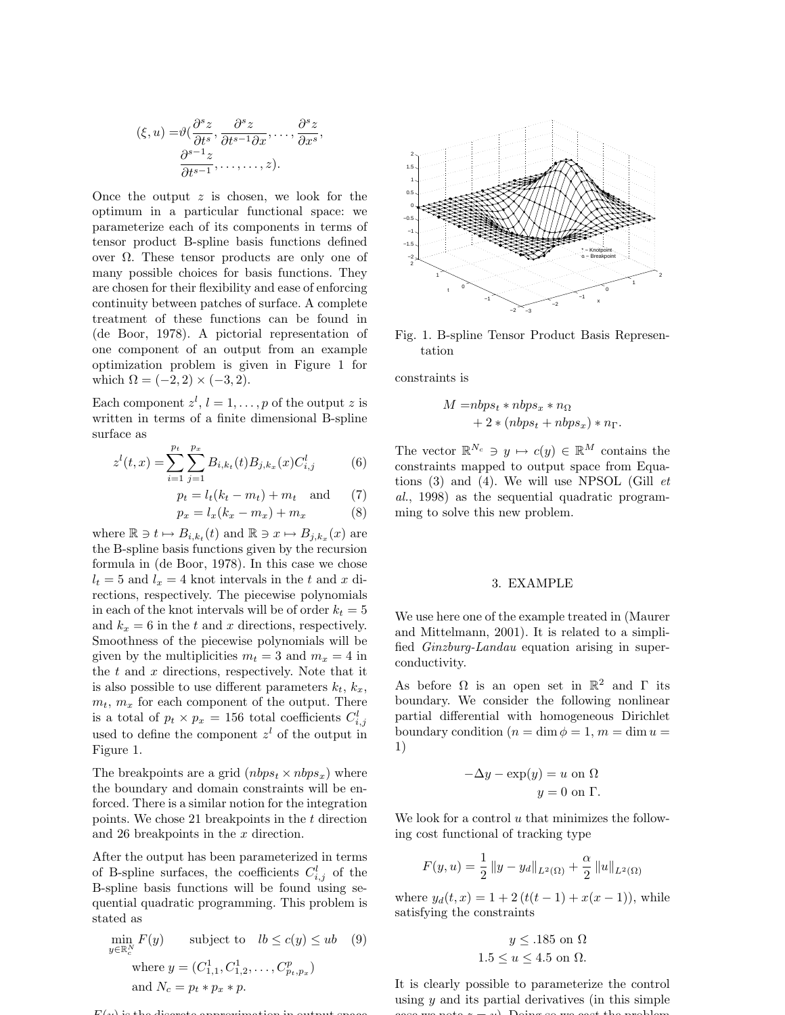$$
(\xi, u) = \vartheta(\frac{\partial^s z}{\partial t^s}, \frac{\partial^s z}{\partial t^{s-1} \partial x}, \dots, \frac{\partial^s z}{\partial x^s}, \frac{\partial^{s-1} z}{\partial t^{s-1}}, \dots, \dots, z).
$$

Once the output  $z$  is chosen, we look for the optimum in a particular functional space: we parameterize each of its components in terms of tensor product B-spline basis functions defined over Ω. These tensor products are only one of many possible choices for basis functions. They are chosen for their flexibility and ease of enforcing continuity between patches of surface. A complete treatment of these functions can be found in (de Boor, 1978). A pictorial representation of one component of an output from an example optimization problem is given in Figure 1 for which  $\Omega = (-2, 2) \times (-3, 2)$ .

Each component  $z^l$ ,  $l = 1, \ldots, p$  of the output z is written in terms of a finite dimensional B-spline surface as

$$
z^{l}(t,x) = \sum_{i=1}^{p_t} \sum_{j=1}^{p_x} B_{i,k_t}(t) B_{j,k_x}(x) C_{i,j}^{l}
$$
 (6)

$$
p_t = l_t(k_t - m_t) + m_t \quad \text{and} \quad (7)
$$

$$
p_x = l_x(k_x - m_x) + m_x \tag{8}
$$

where  $\mathbb{R} \ni t \mapsto B_{i,k_t}(t)$  and  $\mathbb{R} \ni x \mapsto B_{j,k_x}(x)$  are the B-spline basis functions given by the recursion formula in (de Boor, 1978). In this case we chose  $l_t = 5$  and  $l_x = 4$  knot intervals in the t and x directions, respectively. The piecewise polynomials in each of the knot intervals will be of order  $k_t = 5$ and  $k_x = 6$  in the t and x directions, respectively. Smoothness of the piecewise polynomials will be given by the multiplicities  $m_t = 3$  and  $m_x = 4$  in the  $t$  and  $x$  directions, respectively. Note that it is also possible to use different parameters  $k_t$ ,  $k_x$ ,  $m_t$ ,  $m_x$  for each component of the output. There is a total of  $p_t \times p_x = 156$  total coefficients  $C_{i,j}^l$ used to define the component  $z<sup>l</sup>$  of the output in Figure 1.

The breakpoints are a grid  $(nbps_t \times nbps_x)$  where the boundary and domain constraints will be enforced. There is a similar notion for the integration points. We chose 21 breakpoints in the  $t$  direction and 26 breakpoints in the x direction.

After the output has been parameterized in terms of B-spline surfaces, the coefficients  $C_{i,j}^l$  of the B-spline basis functions will be found using sequential quadratic programming. This problem is stated as

$$
\min_{y \in \mathbb{R}^N_c} F(y) \qquad \text{subject to} \quad lb \le c(y) \le ub \quad (9)
$$
\n
$$
\text{where } y = (C_{1,1}^1, C_{1,2}^1, \dots, C_{p_t, p_x}^p)
$$
\n
$$
\text{and } N_c = p_t * p_x * p.
$$

 $F(x)$  is the discrete approximation in output space



Fig. 1. B-spline Tensor Product Basis Representation

constraints is

$$
M = nbps_t * nbps_x * n_{\Omega}
$$
  
+ 2 \* (nbps\_t + nbps\_x) \* n\_{\Gamma}.

The vector  $\mathbb{R}^{N_c} \ni y \mapsto c(y) \in \mathbb{R}^M$  contains the constraints mapped to output space from Equations  $(3)$  and  $(4)$ . We will use NPSOL (Gill *et* al., 1998) as the sequential quadratic programming to solve this new problem.

### 3. EXAMPLE

We use here one of the example treated in (Maurer and Mittelmann, 2001). It is related to a simplified Ginzburg-Landau equation arising in superconductivity.

As before  $\Omega$  is an open set in  $\mathbb{R}^2$  and  $\Gamma$  its boundary. We consider the following nonlinear partial differential with homogeneous Dirichlet boundary condition  $(n = \dim \phi = 1, m = \dim u =$ 1)

$$
-\Delta y - \exp(y) = u
$$
 on  $\Omega$   
 $y = 0$  on  $\Gamma$ .

We look for a control  $u$  that minimizes the following cost functional of tracking type

$$
F(y, u) = \frac{1}{2} ||y - y_d||_{L^2(\Omega)} + \frac{\alpha}{2} ||u||_{L^2(\Omega)}
$$

where  $y_d(t, x) = 1 + 2(t(t-1) + x(x - 1))$ , while satisfying the constraints

$$
y \le .185
$$
 on  $\Omega$   
 $1.5 \le u \le 4.5$  on  $\Omega$ .

It is clearly possible to parameterize the control using  $y$  and its partial derivatives (in this simple case we note z = y). Doing so we cast the problem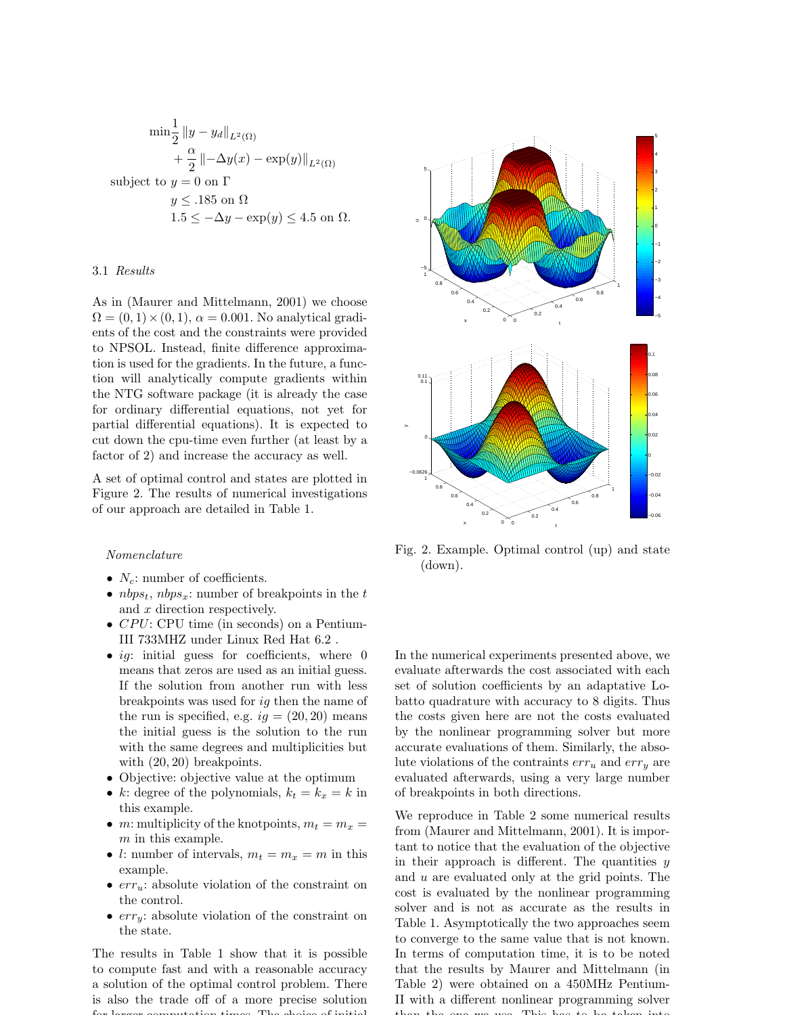$$
\min \frac{1}{2} \|y - y_d\|_{L^2(\Omega)}
$$
  
+  $\frac{\alpha}{2} \| -\Delta y(x) - \exp(y) \|_{L^2(\Omega)}$   
subject to  $y = 0$  on  $\Gamma$   
 $y \le .185$  on  $\Omega$   
 $1.5 \le -\Delta y - \exp(y) \le 4.5$  on  $\Omega$ .

## 3.1 Results

As in (Maurer and Mittelmann, 2001) we choose  $\Omega = (0, 1) \times (0, 1), \alpha = 0.001.$  No analytical gradients of the cost and the constraints were provided to NPSOL. Instead, finite difference approximation is used for the gradients. In the future, a function will analytically compute gradients within the NTG software package (it is already the case for ordinary differential equations, not yet for partial differential equations). It is expected to cut down the cpu-time even further (at least by a factor of 2) and increase the accuracy as well.

A set of optimal control and states are plotted in Figure 2. The results of numerical investigations of our approach are detailed in Table 1.

### Nomenclature

- $N_c$ : number of coefficients.
- $nbps_t$ ,  $nbps_x$ : number of breakpoints in the  $t$ and x direction respectively.
- $CPU: CPU$  time (in seconds) on a Pentium-III 733MHZ under Linux Red Hat 6.2 .
- *ig*: initial guess for coefficients, where  $0$ means that zeros are used as an initial guess. If the solution from another run with less breakpoints was used for ig then the name of the run is specified, e.g.  $ig = (20, 20)$  means the initial guess is the solution to the run with the same degrees and multiplicities but with  $(20, 20)$  breakpoints.
- Objective: objective value at the optimum
- k: degree of the polynomials,  $k_t = k_x = k$  in this example.
- *m*: multiplicity of the knotpoints,  $m_t = m_x =$ m in this example.
- l: number of intervals,  $m_t = m_x = m$  in this example.
- $err_u$ : absolute violation of the constraint on the control.
- $err_y$ : absolute violation of the constraint on the state.

The results in Table 1 show that it is possible to compute fast and with a reasonable accuracy a solution of the optimal control problem. There is also the trade off of a more precise solution for larger computation times. The choice of initial



Fig. 2. Example. Optimal control (up) and state (down).

In the numerical experiments presented above, we evaluate afterwards the cost associated with each set of solution coefficients by an adaptative Lobatto quadrature with accuracy to 8 digits. Thus the costs given here are not the costs evaluated by the nonlinear programming solver but more accurate evaluations of them. Similarly, the absolute violations of the contraints  $err_u$  and  $err_v$  are evaluated afterwards, using a very large number of breakpoints in both directions.

We reproduce in Table 2 some numerical results from (Maurer and Mittelmann, 2001). It is important to notice that the evaluation of the objective in their approach is different. The quantities  $y$ and u are evaluated only at the grid points. The cost is evaluated by the nonlinear programming solver and is not as accurate as the results in Table 1. Asymptotically the two approaches seem to converge to the same value that is not known. In terms of computation time, it is to be noted that the results by Maurer and Mittelmann (in Table 2) were obtained on a 450MHz Pentium-II with a different nonlinear programming solver than the one we use. This has to be taken into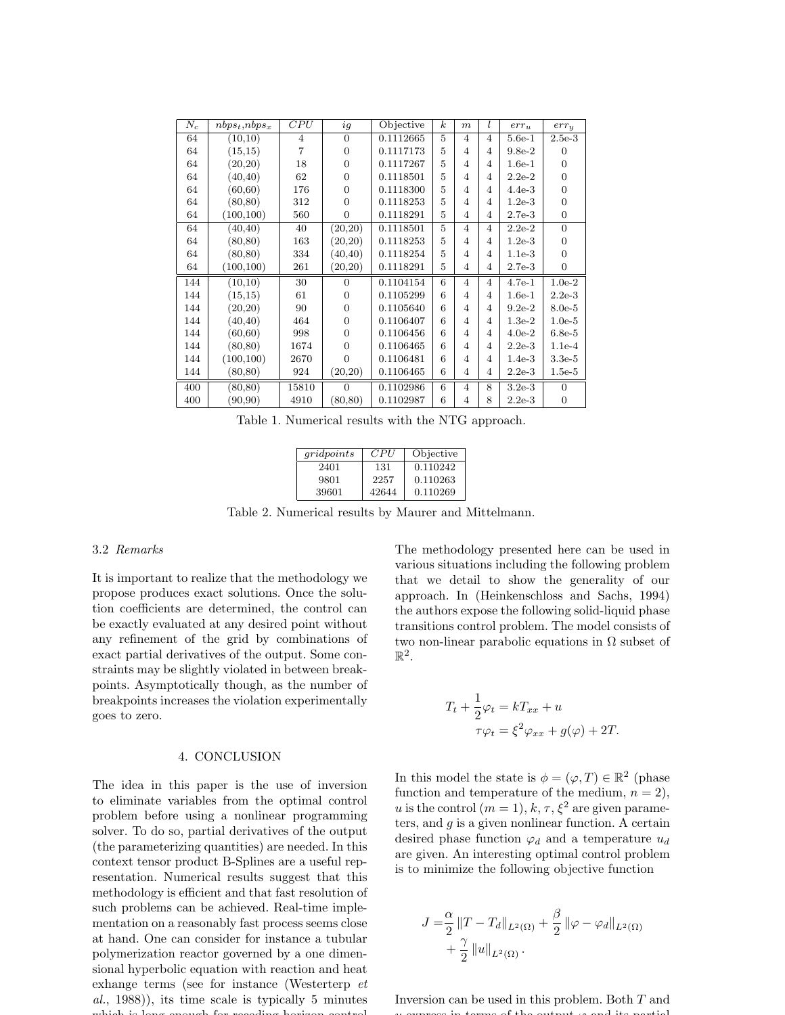| $N_c$ | $nbps_t, nbps_x$ | CPU            | ig             | Objective | $\boldsymbol{k}$ | $\boldsymbol{m}$ | l              | $err_u$  | $err_{y}$      |
|-------|------------------|----------------|----------------|-----------|------------------|------------------|----------------|----------|----------------|
| 64    | (10,10)          | $\overline{4}$ | $\Omega$       | 0.1112665 | 5                | $\overline{4}$   | $\overline{4}$ | $5.6e-1$ | $2.5e-3$       |
| 64    | (15, 15)         | 7              | $\Omega$       | 0.1117173 | 5                | 4                | 4              | $9.8e-2$ | 0              |
| 64    | (20, 20)         | 18             | $\overline{0}$ | 0.1117267 | 5                | 4                | 4              | $1.6e-1$ | $\overline{0}$ |
| 64    | (40, 40)         | 62             | $\Omega$       | 0.1118501 | 5                | 4                | 4              | $2.2e-2$ | $\Omega$       |
| 64    | (60, 60)         | 176            | $\Omega$       | 0.1118300 | 5                | 4                | 4              | $4.4e-3$ | $\overline{0}$ |
| 64    | (80, 80)         | 312            | $\Omega$       | 0.1118253 | 5                | 4                | 4              | $1.2e-3$ | $\overline{0}$ |
| 64    | (100, 100)       | 560            | $\overline{0}$ | 0.1118291 | 5                | 4                | 4              | $2.7e-3$ | $\overline{0}$ |
| 64    | (40, 40)         | 40             | (20,20)        | 0.1118501 | 5                | $\overline{4}$   | $\overline{4}$ | $2.2e-2$ | $\Omega$       |
| 64    | (80, 80)         | 163            | (20, 20)       | 0.1118253 | 5                | 4                | 4              | $1.2e-3$ | $\Omega$       |
| 64    | (80, 80)         | 334            | (40, 40)       | 0.1118254 | 5                | 4                | 4              | $1.1e-3$ | $\overline{0}$ |
| 64    | (100, 100)       | 261            | (20,20)        | 0.1118291 | 5                | $\overline{4}$   | 4              | $2.7e-3$ | $\overline{0}$ |
| 144   | (10,10)          | 30             | $\Omega$       | 0.1104154 | 6                | $\overline{4}$   | $\overline{4}$ | $4.7e-1$ | $1.0e-2$       |
| 144   | (15,15)          | 61             | $\Omega$       | 0.1105299 | 6                | 4                | 4              | $1.6e-1$ | $2.2e-3$       |
| 144   | (20, 20)         | 90             | $\Omega$       | 0.1105640 | 6                | 4                | 4              | $9.2e-2$ | $8.0e-5$       |
| 144   | (40, 40)         | 464            | $\Omega$       | 0.1106407 | 6                | 4                | 4              | $1.3e-2$ | $1.0e-5$       |
| 144   | (60, 60)         | 998            | $\Omega$       | 0.1106456 | 6                | 4                | 4              | $4.0e-2$ | $6.8e-5$       |
| 144   | (80, 80)         | 1674           | $\Omega$       | 0.1106465 | 6                | 4                | 4              | $2.2e-3$ | $1.1e-4$       |
| 144   | (100, 100)       | 2670           | $\Omega$       | 0.1106481 | 6                | 4                | 4              | $1.4e-3$ | $3.3e-5$       |
| 144   | (80, 80)         | 924            | (20,20)        | 0.1106465 | 6                | $\overline{4}$   | 4              | $2.2e-3$ | $1.5e-5$       |
| 400   | (80, 80)         | 15810          | $\Omega$       | 0.1102986 | 6                | $\overline{4}$   | 8              | $3.2e-3$ | $\Omega$       |
| 400   | (90, 90)         | 4910           | (80, 80)       | 0.1102987 | 6                | 4                | 8              | $2.2e-3$ | $\overline{0}$ |

Table 1. Numerical results with the NTG approach.

| gridpoints | CPU   | Objective |
|------------|-------|-----------|
| 2401       | 131   | 0.110242  |
| 9801       | 2257  | 0.110263  |
| 39601      | 42644 | 0.110269  |

Table 2. Numerical results by Maurer and Mittelmann.

# 3.2 Remarks

It is important to realize that the methodology we propose produces exact solutions. Once the solution coefficients are determined, the control can be exactly evaluated at any desired point without any refinement of the grid by combinations of exact partial derivatives of the output. Some constraints may be slightly violated in between breakpoints. Asymptotically though, as the number of breakpoints increases the violation experimentally goes to zero.

#### 4. CONCLUSION

The idea in this paper is the use of inversion to eliminate variables from the optimal control problem before using a nonlinear programming solver. To do so, partial derivatives of the output (the parameterizing quantities) are needed. In this context tensor product B-Splines are a useful representation. Numerical results suggest that this methodology is efficient and that fast resolution of such problems can be achieved. Real-time implementation on a reasonably fast process seems close at hand. One can consider for instance a tubular polymerization reactor governed by a one dimensional hyperbolic equation with reaction and heat exhange terms (see for instance (Westerterp et al., 1988)), its time scale is typically 5 minutes which is long enough for receding horizon

The methodology presented here can be used in various situations including the following problem that we detail to show the generality of our approach. In (Heinkenschloss and Sachs, 1994) the authors expose the following solid-liquid phase transitions control problem. The model consists of two non-linear parabolic equations in  $\Omega$  subset of  $\mathbb{R}^2$ .

$$
T_t + \frac{1}{2}\varphi_t = kT_{xx} + u
$$
  

$$
\tau \varphi_t = \xi^2 \varphi_{xx} + g(\varphi) + 2T.
$$

In this model the state is  $\phi = (\varphi, T) \in \mathbb{R}^2$  (phase function and temperature of the medium,  $n = 2$ ), u is the control  $(m = 1), k, \tau, \xi^2$  are given parameters, and  $g$  is a given nonlinear function. A certain desired phase function  $\varphi_d$  and a temperature  $u_d$ are given. An interesting optimal control problem is to minimize the following objective function

$$
J = \frac{\alpha}{2} ||T - T_d||_{L^2(\Omega)} + \frac{\beta}{2} ||\varphi - \varphi_d||_{L^2(\Omega)} + \frac{\gamma}{2} ||u||_{L^2(\Omega)}.
$$

Inversion can be used in this problem. Both T and u express in terms of the output ϕ and its partial